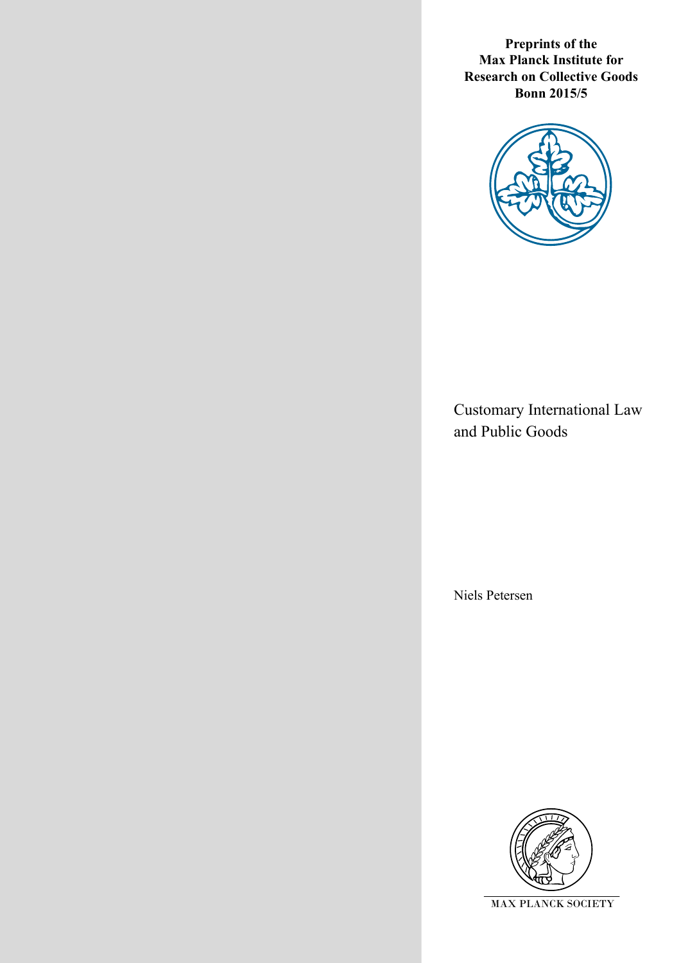**Preprints of the Max Planck Institute for Research on Collective Goods Bonn 2015/5**



Customary International Law and Public Goods

Niels Petersen

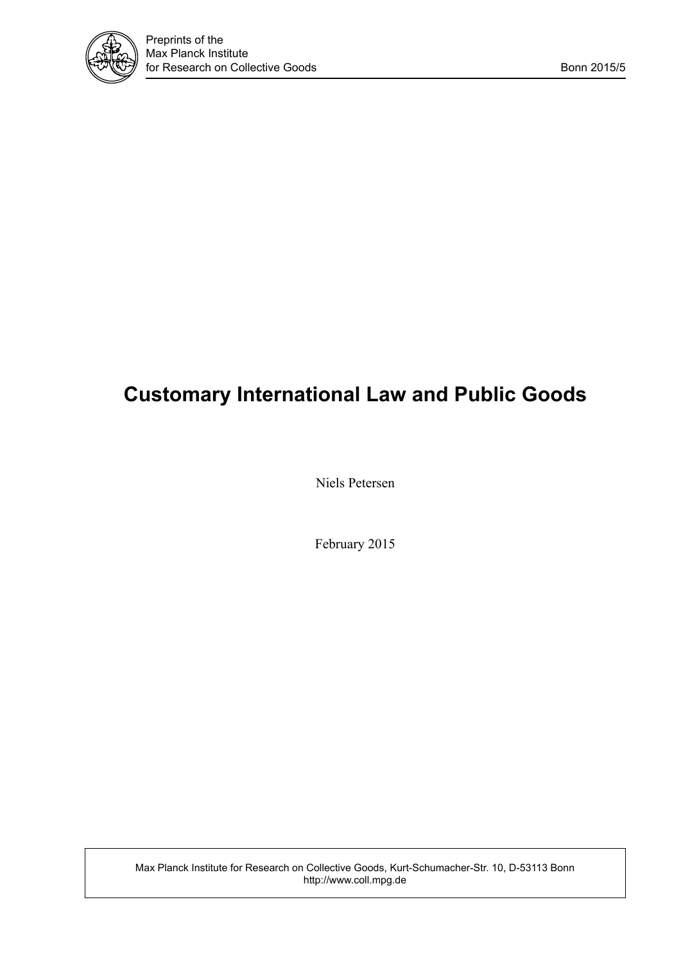

# **Customary International Law and Public Goods**

Niels Petersen

February 2015

Max Planck Institute for Research on Collective Goods, Kurt-Schumacher-Str. 10, D-53113 Bonn http://www.coll.mpg.de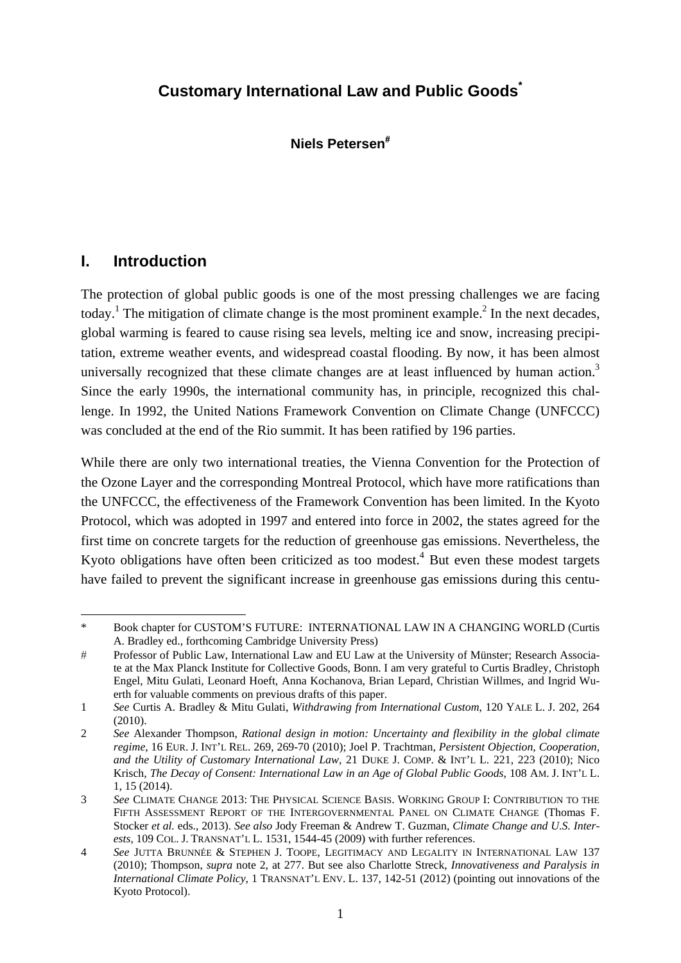# **Customary International Law and Public Goods\***

**Niels Petersen**

## **I. Introduction**

The protection of global public goods is one of the most pressing challenges we are facing today.<sup>1</sup> The mitigation of climate change is the most prominent example.<sup>2</sup> In the next decades, global warming is feared to cause rising sea levels, melting ice and snow, increasing precipitation, extreme weather events, and widespread coastal flooding. By now, it has been almost universally recognized that these climate changes are at least influenced by human action.<sup>3</sup> Since the early 1990s, the international community has, in principle, recognized this challenge. In 1992, the United Nations Framework Convention on Climate Change (UNFCCC) was concluded at the end of the Rio summit. It has been ratified by 196 parties.

While there are only two international treaties, the Vienna Convention for the Protection of the Ozone Layer and the corresponding Montreal Protocol, which have more ratifications than the UNFCCC, the effectiveness of the Framework Convention has been limited. In the Kyoto Protocol, which was adopted in 1997 and entered into force in 2002, the states agreed for the first time on concrete targets for the reduction of greenhouse gas emissions. Nevertheless, the Kyoto obligations have often been criticized as too modest.<sup>4</sup> But even these modest targets have failed to prevent the significant increase in greenhouse gas emissions during this centu-

<sup>-</sup>\* Book chapter for CUSTOM'S FUTURE: INTERNATIONAL LAW IN A CHANGING WORLD (Curtis A. Bradley ed., forthcoming Cambridge University Press)

Professor of Public Law, International Law and EU Law at the University of Münster; Research Associate at the Max Planck Institute for Collective Goods, Bonn. I am very grateful to Curtis Bradley, Christoph Engel, Mitu Gulati, Leonard Hoeft, Anna Kochanova, Brian Lepard, Christian Willmes, and Ingrid Wuerth for valuable comments on previous drafts of this paper.

<sup>1</sup> *See* Curtis A. Bradley & Mitu Gulati, *Withdrawing from International Custom*, 120 YALE L. J. 202, 264 (2010).

<sup>2</sup> *See* Alexander Thompson, *Rational design in motion: Uncertainty and flexibility in the global climate regime*, 16 EUR. J. INT'L REL. 269, 269-70 (2010); Joel P. Trachtman, *Persistent Objection, Cooperation, and the Utility of Customary International Law*, 21 DUKE J. COMP. & INT'L L. 221, 223 (2010); Nico Krisch, *The Decay of Consent: International Law in an Age of Global Public Goods*, 108 AM. J. INT'L L. 1, 15 (2014).

<sup>3</sup> *See* CLIMATE CHANGE 2013: THE PHYSICAL SCIENCE BASIS. WORKING GROUP I: CONTRIBUTION TO THE FIFTH ASSESSMENT REPORT OF THE INTERGOVERNMENTAL PANEL ON CLIMATE CHANGE (Thomas F. Stocker *et al.* eds., 2013). *See also* Jody Freeman & Andrew T. Guzman, *Climate Change and U.S. Interests*, 109 COL. J. TRANSNAT'L L. 1531, 1544-45 (2009) with further references.

<sup>4</sup> *See* JUTTA BRUNNÉE & STEPHEN J. TOOPE, LEGITIMACY AND LEGALITY IN INTERNATIONAL LAW 137 (2010); Thompson, *supra* note 2, at 277. But see also Charlotte Streck, *Innovativeness and Paralysis in International Climate Policy*, 1 TRANSNAT'L ENV. L. 137, 142-51 (2012) (pointing out innovations of the Kyoto Protocol).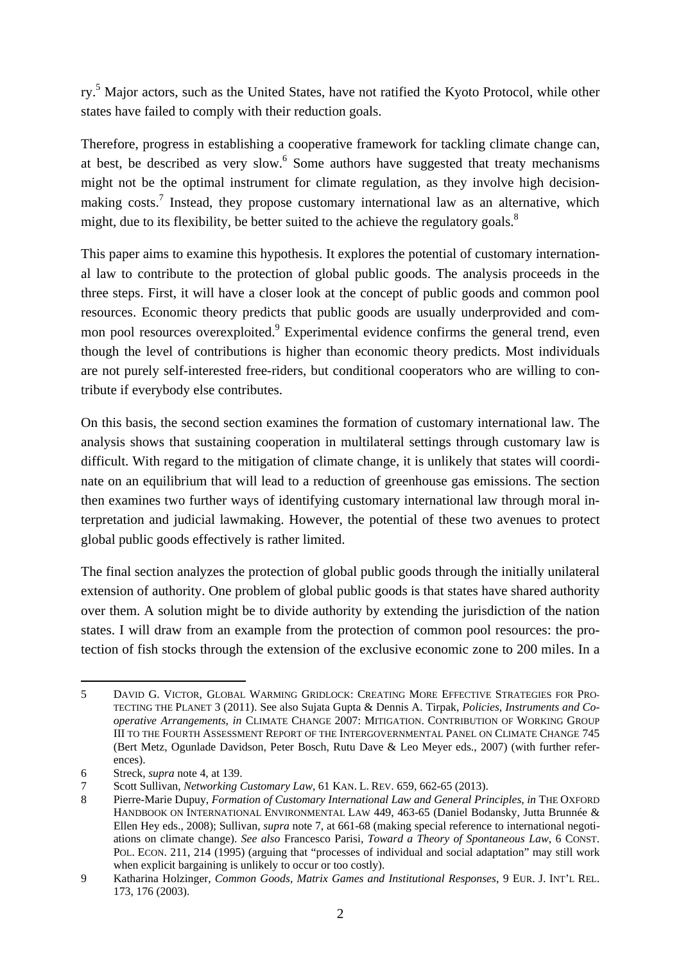ry.<sup>5</sup> Major actors, such as the United States, have not ratified the Kyoto Protocol, while other states have failed to comply with their reduction goals.

Therefore, progress in establishing a cooperative framework for tackling climate change can, at best, be described as very slow. $<sup>6</sup>$  Some authors have suggested that treaty mechanisms</sup> might not be the optimal instrument for climate regulation, as they involve high decisionmaking  $costs$ .<sup>7</sup> Instead, they propose customary international law as an alternative, which might, due to its flexibility, be better suited to the achieve the regulatory goals. $8$ 

This paper aims to examine this hypothesis. It explores the potential of customary international law to contribute to the protection of global public goods. The analysis proceeds in the three steps. First, it will have a closer look at the concept of public goods and common pool resources. Economic theory predicts that public goods are usually underprovided and common pool resources overexploited. Experimental evidence confirms the general trend, even though the level of contributions is higher than economic theory predicts. Most individuals are not purely self-interested free-riders, but conditional cooperators who are willing to contribute if everybody else contributes.

On this basis, the second section examines the formation of customary international law. The analysis shows that sustaining cooperation in multilateral settings through customary law is difficult. With regard to the mitigation of climate change, it is unlikely that states will coordinate on an equilibrium that will lead to a reduction of greenhouse gas emissions. The section then examines two further ways of identifying customary international law through moral interpretation and judicial lawmaking. However, the potential of these two avenues to protect global public goods effectively is rather limited.

The final section analyzes the protection of global public goods through the initially unilateral extension of authority. One problem of global public goods is that states have shared authority over them. A solution might be to divide authority by extending the jurisdiction of the nation states. I will draw from an example from the protection of common pool resources: the protection of fish stocks through the extension of the exclusive economic zone to 200 miles. In a

<sup>-</sup>5 DAVID G. VICTOR, GLOBAL WARMING GRIDLOCK: CREATING MORE EFFECTIVE STRATEGIES FOR PRO-TECTING THE PLANET 3 (2011). See also Sujata Gupta & Dennis A. Tirpak, *Policies, Instruments and Cooperative Arrangements*, *in* CLIMATE CHANGE 2007: MITIGATION. CONTRIBUTION OF WORKING GROUP III TO THE FOURTH ASSESSMENT REPORT OF THE INTERGOVERNMENTAL PANEL ON CLIMATE CHANGE 745 (Bert Metz, Ogunlade Davidson, Peter Bosch, Rutu Dave & Leo Meyer eds., 2007) (with further references).

<sup>6</sup> Streck, *supra* note 4, at 139.

<sup>7</sup> Scott Sullivan, *Networking Customary Law*, 61 KAN. L. REV. 659, 662-65 (2013).

<sup>8</sup> Pierre-Marie Dupuy, *Formation of Customary International Law and General Principles*, *in* THE OXFORD HANDBOOK ON INTERNATIONAL ENVIRONMENTAL LAW 449, 463-65 (Daniel Bodansky, Jutta Brunnée & Ellen Hey eds., 2008); Sullivan, *supra* note 7, at 661-68 (making special reference to international negotiations on climate change). *See also* Francesco Parisi, *Toward a Theory of Spontaneous Law*, 6 CONST. POL. ECON. 211, 214 (1995) (arguing that "processes of individual and social adaptation" may still work when explicit bargaining is unlikely to occur or too costly).

<sup>9</sup> Katharina Holzinger, *Common Goods, Matrix Games and Institutional Responses*, 9 EUR. J. INT'L REL. 173, 176 (2003).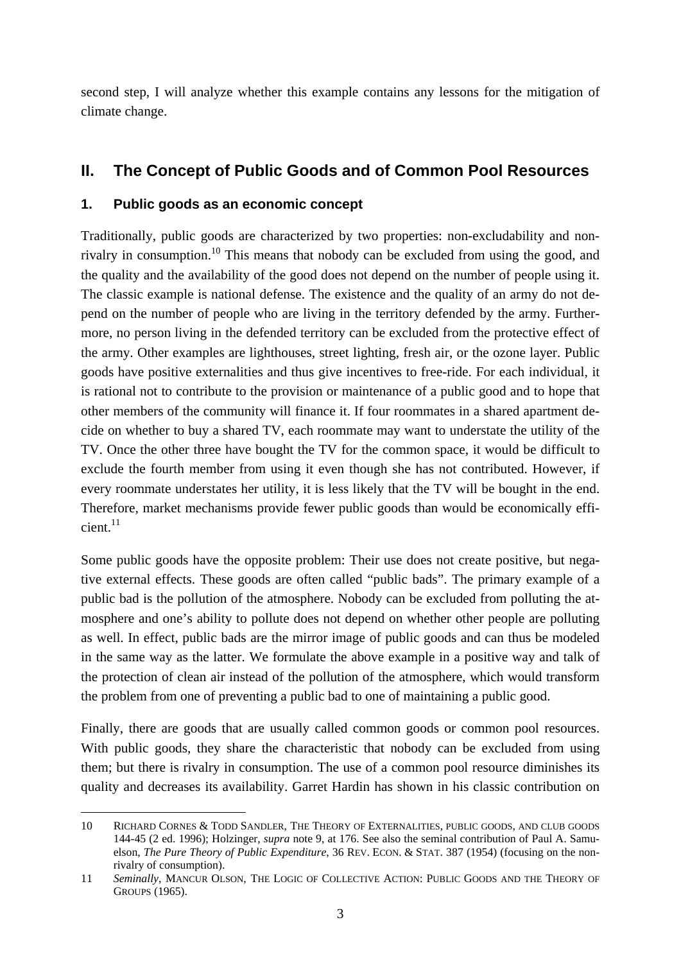second step, I will analyze whether this example contains any lessons for the mitigation of climate change.

# **II. The Concept of Public Goods and of Common Pool Resources**

## **1. Public goods as an economic concept**

-

Traditionally, public goods are characterized by two properties: non-excludability and nonrivalry in consumption.10 This means that nobody can be excluded from using the good, and the quality and the availability of the good does not depend on the number of people using it. The classic example is national defense. The existence and the quality of an army do not depend on the number of people who are living in the territory defended by the army. Furthermore, no person living in the defended territory can be excluded from the protective effect of the army. Other examples are lighthouses, street lighting, fresh air, or the ozone layer. Public goods have positive externalities and thus give incentives to free-ride. For each individual, it is rational not to contribute to the provision or maintenance of a public good and to hope that other members of the community will finance it. If four roommates in a shared apartment decide on whether to buy a shared TV, each roommate may want to understate the utility of the TV. Once the other three have bought the TV for the common space, it would be difficult to exclude the fourth member from using it even though she has not contributed. However, if every roommate understates her utility, it is less likely that the TV will be bought in the end. Therefore, market mechanisms provide fewer public goods than would be economically effi $cient.<sup>11</sup>$ 

Some public goods have the opposite problem: Their use does not create positive, but negative external effects. These goods are often called "public bads". The primary example of a public bad is the pollution of the atmosphere. Nobody can be excluded from polluting the atmosphere and one's ability to pollute does not depend on whether other people are polluting as well. In effect, public bads are the mirror image of public goods and can thus be modeled in the same way as the latter. We formulate the above example in a positive way and talk of the protection of clean air instead of the pollution of the atmosphere, which would transform the problem from one of preventing a public bad to one of maintaining a public good.

Finally, there are goods that are usually called common goods or common pool resources. With public goods, they share the characteristic that nobody can be excluded from using them; but there is rivalry in consumption. The use of a common pool resource diminishes its quality and decreases its availability. Garret Hardin has shown in his classic contribution on

<sup>10</sup> RICHARD CORNES & TODD SANDLER, THE THEORY OF EXTERNALITIES, PUBLIC GOODS, AND CLUB GOODS 144-45 (2 ed. 1996); Holzinger, *supra* note 9, at 176. See also the seminal contribution of Paul A. Samuelson, *The Pure Theory of Public Expenditure*, 36 REV. ECON. & STAT. 387 (1954) (focusing on the nonrivalry of consumption).

<sup>11</sup> *Seminally*, MANCUR OLSON, THE LOGIC OF COLLECTIVE ACTION: PUBLIC GOODS AND THE THEORY OF GROUPS (1965).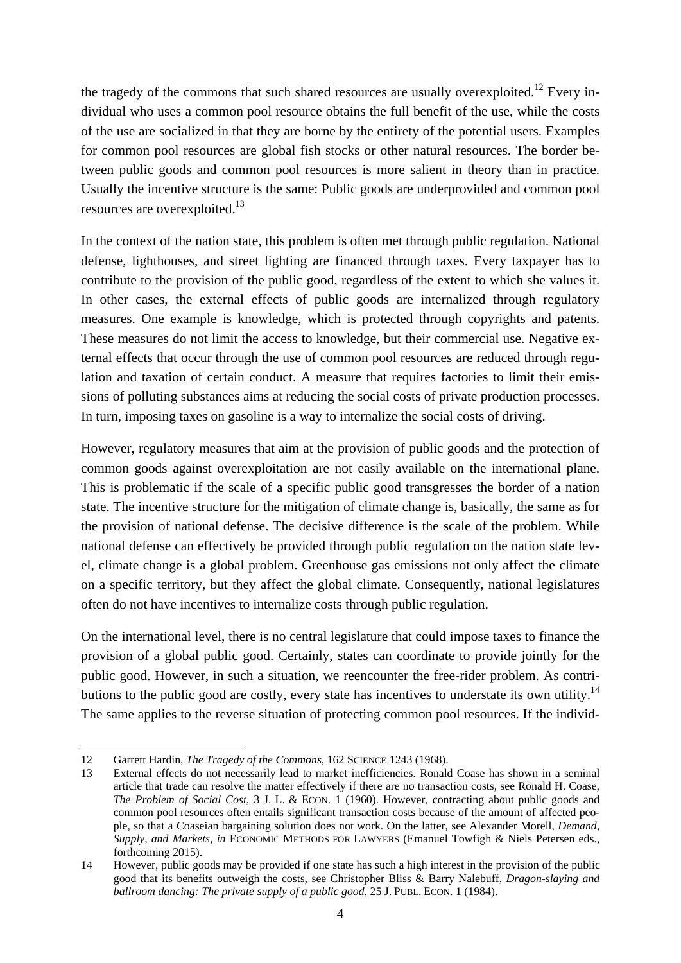the tragedy of the commons that such shared resources are usually overexploited.<sup>12</sup> Every individual who uses a common pool resource obtains the full benefit of the use, while the costs of the use are socialized in that they are borne by the entirety of the potential users. Examples for common pool resources are global fish stocks or other natural resources. The border between public goods and common pool resources is more salient in theory than in practice. Usually the incentive structure is the same: Public goods are underprovided and common pool resources are overexploited.13

In the context of the nation state, this problem is often met through public regulation. National defense, lighthouses, and street lighting are financed through taxes. Every taxpayer has to contribute to the provision of the public good, regardless of the extent to which she values it. In other cases, the external effects of public goods are internalized through regulatory measures. One example is knowledge, which is protected through copyrights and patents. These measures do not limit the access to knowledge, but their commercial use. Negative external effects that occur through the use of common pool resources are reduced through regulation and taxation of certain conduct. A measure that requires factories to limit their emissions of polluting substances aims at reducing the social costs of private production processes. In turn, imposing taxes on gasoline is a way to internalize the social costs of driving.

However, regulatory measures that aim at the provision of public goods and the protection of common goods against overexploitation are not easily available on the international plane. This is problematic if the scale of a specific public good transgresses the border of a nation state. The incentive structure for the mitigation of climate change is, basically, the same as for the provision of national defense. The decisive difference is the scale of the problem. While national defense can effectively be provided through public regulation on the nation state level, climate change is a global problem. Greenhouse gas emissions not only affect the climate on a specific territory, but they affect the global climate. Consequently, national legislatures often do not have incentives to internalize costs through public regulation.

On the international level, there is no central legislature that could impose taxes to finance the provision of a global public good. Certainly, states can coordinate to provide jointly for the public good. However, in such a situation, we reencounter the free-rider problem. As contributions to the public good are costly, every state has incentives to understate its own utility.<sup>14</sup> The same applies to the reverse situation of protecting common pool resources. If the individ-

<sup>-</sup>12 Garrett Hardin, *The Tragedy of the Commons*, 162 SCIENCE 1243 (1968).

<sup>13</sup> External effects do not necessarily lead to market inefficiencies. Ronald Coase has shown in a seminal article that trade can resolve the matter effectively if there are no transaction costs, see Ronald H. Coase, *The Problem of Social Cost*, 3 J. L. & ECON. 1 (1960). However, contracting about public goods and common pool resources often entails significant transaction costs because of the amount of affected people, so that a Coaseian bargaining solution does not work. On the latter, see Alexander Morell, *Demand, Supply, and Markets*, *in* ECONOMIC METHODS FOR LAWYERS (Emanuel Towfigh & Niels Petersen eds., forthcoming 2015).

<sup>14</sup> However, public goods may be provided if one state has such a high interest in the provision of the public good that its benefits outweigh the costs, see Christopher Bliss & Barry Nalebuff, *Dragon-slaying and ballroom dancing: The private supply of a public good*, 25 J. PUBL. ECON. 1 (1984).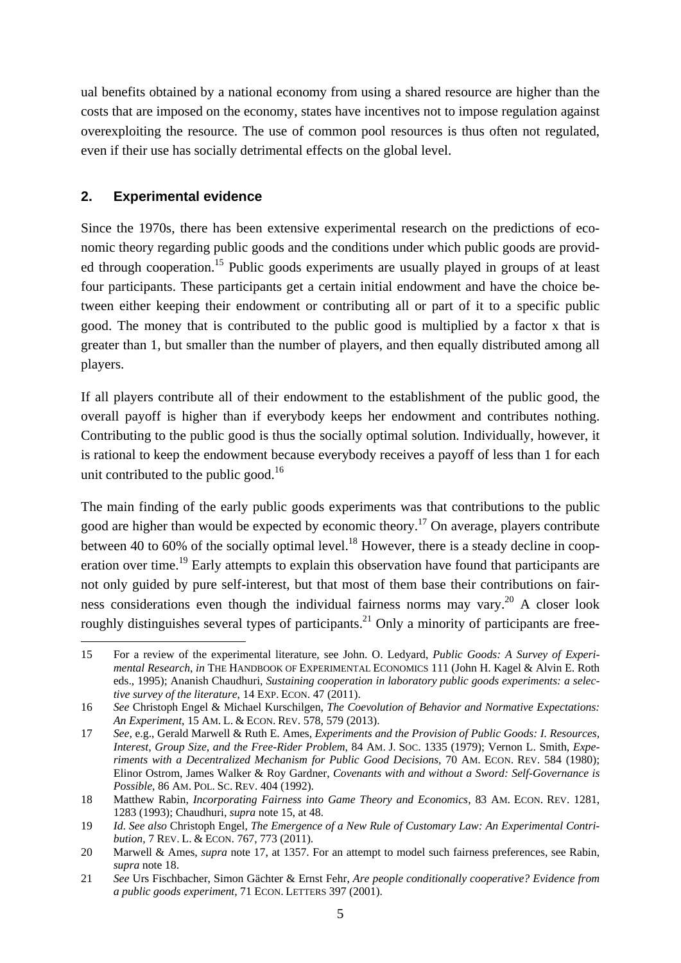ual benefits obtained by a national economy from using a shared resource are higher than the costs that are imposed on the economy, states have incentives not to impose regulation against overexploiting the resource. The use of common pool resources is thus often not regulated, even if their use has socially detrimental effects on the global level.

### **2. Experimental evidence**

Since the 1970s, there has been extensive experimental research on the predictions of economic theory regarding public goods and the conditions under which public goods are provided through cooperation.<sup>15</sup> Public goods experiments are usually played in groups of at least four participants. These participants get a certain initial endowment and have the choice between either keeping their endowment or contributing all or part of it to a specific public good. The money that is contributed to the public good is multiplied by a factor x that is greater than 1, but smaller than the number of players, and then equally distributed among all players.

If all players contribute all of their endowment to the establishment of the public good, the overall payoff is higher than if everybody keeps her endowment and contributes nothing. Contributing to the public good is thus the socially optimal solution. Individually, however, it is rational to keep the endowment because everybody receives a payoff of less than 1 for each unit contributed to the public good. $16$ 

The main finding of the early public goods experiments was that contributions to the public good are higher than would be expected by economic theory.<sup>17</sup> On average, players contribute between 40 to 60% of the socially optimal level.<sup>18</sup> However, there is a steady decline in cooperation over time.<sup>19</sup> Early attempts to explain this observation have found that participants are not only guided by pure self-interest, but that most of them base their contributions on fairness considerations even though the individual fairness norms may vary.20 A closer look roughly distinguishes several types of participants.<sup>21</sup> Only a minority of participants are free-

<sup>-</sup>15 For a review of the experimental literature, see John. O. Ledyard, *Public Goods: A Survey of Experimental Research*, *in* THE HANDBOOK OF EXPERIMENTAL ECONOMICS 111 (John H. Kagel & Alvin E. Roth eds., 1995); Ananish Chaudhuri, *Sustaining cooperation in laboratory public goods experiments: a selective survey of the literature*, 14 EXP. ECON. 47 (2011).

<sup>16</sup> *See* Christoph Engel & Michael Kurschilgen, *The Coevolution of Behavior and Normative Expectations: An Experiment*, 15 AM. L. & ECON. REV. 578, 579 (2013).

<sup>17</sup> *See*, e.g., Gerald Marwell & Ruth E. Ames, *Experiments and the Provision of Public Goods: I. Resources, Interest, Group Size, and the Free-Rider Problem*, 84 AM. J. SOC. 1335 (1979); Vernon L. Smith, *Experiments with a Decentralized Mechanism for Public Good Decisions*, 70 AM. ECON. REV. 584 (1980); Elinor Ostrom, James Walker & Roy Gardner, *Covenants with and without a Sword: Self-Governance is Possible*, 86 AM. POL. SC. REV. 404 (1992).

<sup>18</sup> Matthew Rabin, *Incorporating Fairness into Game Theory and Economics*, 83 AM. ECON. REV. 1281, 1283 (1993); Chaudhuri, *supra* note 15, at 48.

<sup>19</sup> *Id*. *See also* Christoph Engel, *The Emergence of a New Rule of Customary Law: An Experimental Contribution*, 7 REV. L. & ECON. 767, 773 (2011).

<sup>20</sup> Marwell & Ames, *supra* note 17, at 1357. For an attempt to model such fairness preferences, see Rabin, *supra* note 18.

<sup>21</sup> *See* Urs Fischbacher, Simon Gächter & Ernst Fehr, *Are people conditionally cooperative? Evidence from a public goods experiment*, 71 ECON. LETTERS 397 (2001).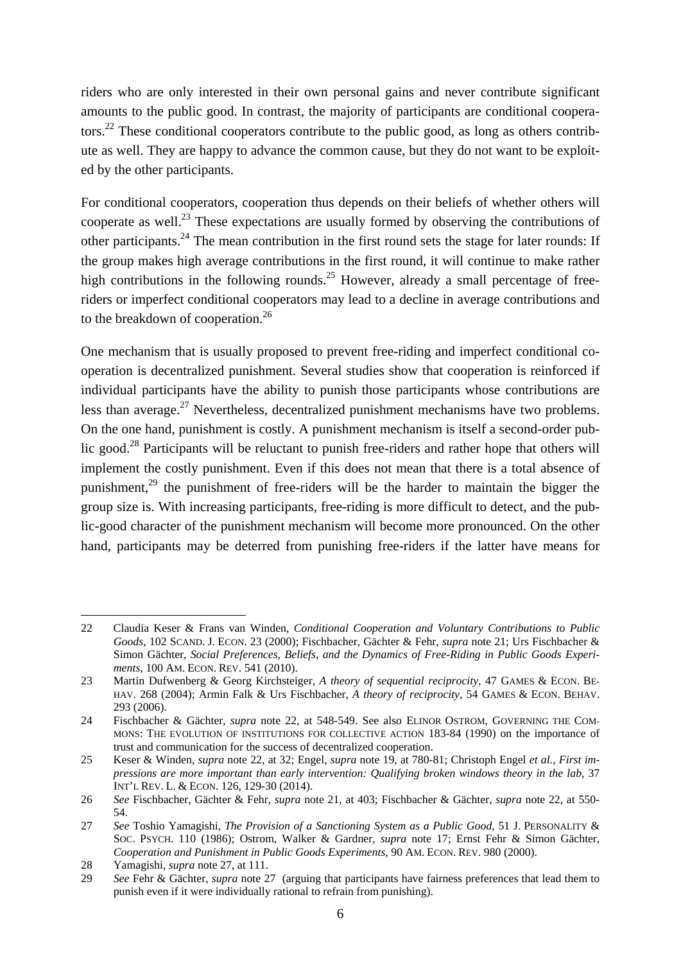riders who are only interested in their own personal gains and never contribute significant amounts to the public good. In contrast, the majority of participants are conditional cooperators.<sup>22</sup> These conditional cooperators contribute to the public good, as long as others contribute as well. They are happy to advance the common cause, but they do not want to be exploited by the other participants.

For conditional cooperators, cooperation thus depends on their beliefs of whether others will cooperate as well.<sup>23</sup> These expectations are usually formed by observing the contributions of other participants.<sup>24</sup> The mean contribution in the first round sets the stage for later rounds: If the group makes high average contributions in the first round, it will continue to make rather high contributions in the following rounds.<sup>25</sup> However, already a small percentage of freeriders or imperfect conditional cooperators may lead to a decline in average contributions and to the breakdown of cooperation.<sup>26</sup>

One mechanism that is usually proposed to prevent free-riding and imperfect conditional cooperation is decentralized punishment. Several studies show that cooperation is reinforced if individual participants have the ability to punish those participants whose contributions are less than average.<sup>27</sup> Nevertheless, decentralized punishment mechanisms have two problems. On the one hand, punishment is costly. A punishment mechanism is itself a second-order public good.<sup>28</sup> Participants will be reluctant to punish free-riders and rather hope that others will implement the costly punishment. Even if this does not mean that there is a total absence of punishment, $29$  the punishment of free-riders will be the harder to maintain the bigger the group size is. With increasing participants, free-riding is more difficult to detect, and the public-good character of the punishment mechanism will become more pronounced. On the other hand, participants may be deterred from punishing free-riders if the latter have means for

<sup>22</sup> Claudia Keser & Frans van Winden, *Conditional Cooperation and Voluntary Contributions to Public Goods*, 102 SCAND. J. ECON. 23 (2000); Fischbacher, Gächter & Fehr, *supra* note 21; Urs Fischbacher & Simon Gächter, *Social Preferences, Beliefs, and the Dynamics of Free-Riding in Public Goods Experiments*, 100 AM. ECON. REV. 541 (2010).

<sup>23</sup> Martin Dufwenberg & Georg Kirchsteiger, *A theory of sequential reciprocity*, 47 GAMES & ECON. BE-HAV. 268 (2004); Armin Falk & Urs Fischbacher, *A theory of reciprocity*, 54 GAMES & ECON. BEHAV. 293 (2006).

<sup>24</sup> Fischbacher & Gächter, *supra* note 22, at 548-549. See also ELINOR OSTROM, GOVERNING THE COM-MONS: THE EVOLUTION OF INSTITUTIONS FOR COLLECTIVE ACTION 183-84 (1990) on the importance of trust and communication for the success of decentralized cooperation.

<sup>25</sup> Keser & Winden, *supra* note 22, at 32; Engel, *supra* note 19, at 780-81; Christoph Engel *et al.*, *First impressions are more important than early intervention: Qualifying broken windows theory in the lab*, 37 INT'L REV. L. & ECON. 126, 129-30 (2014).

<sup>26</sup> *See* Fischbacher, Gächter & Fehr, *supra* note 21, at 403; Fischbacher & Gächter, *supra* note 22, at 550- 54.

<sup>27</sup> *See* Toshio Yamagishi, *The Provision of a Sanctioning System as a Public Good*, 51 J. PERSONALITY & SOC. PSYCH. 110 (1986); Ostrom, Walker & Gardner, *supra* note 17; Ernst Fehr & Simon Gächter, *Cooperation and Punishment in Public Goods Experiments*, 90 AM. ECON. REV. 980 (2000).

<sup>28</sup> Yamagishi, *supra* note 27, at 111.

<sup>29</sup> *See* Fehr & Gächter, *supra* note 27 (arguing that participants have fairness preferences that lead them to punish even if it were individually rational to refrain from punishing).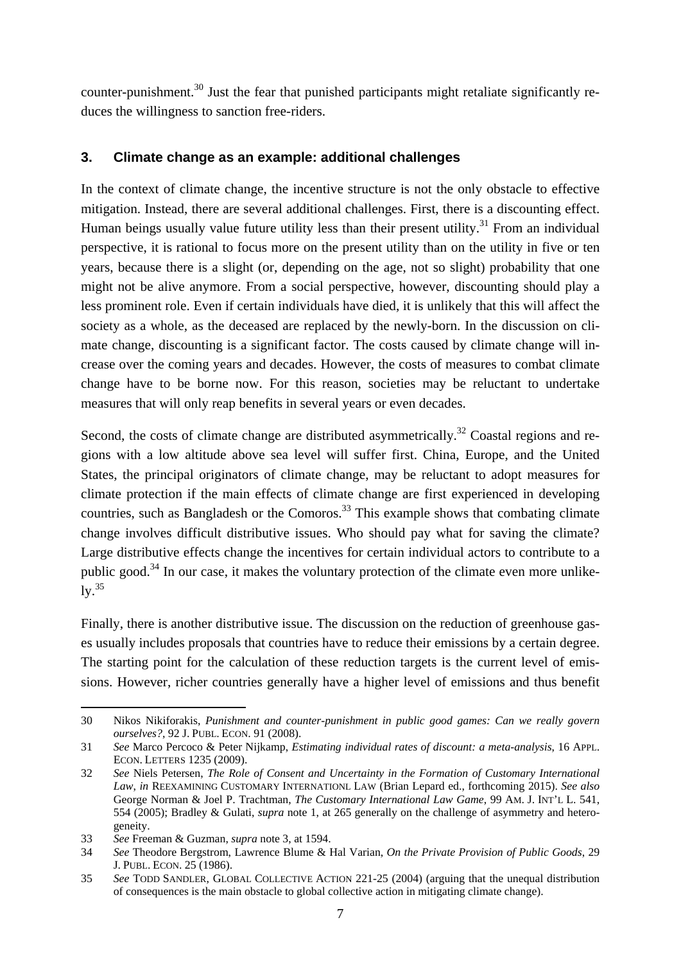counter-punishment.<sup>30</sup> Just the fear that punished participants might retaliate significantly reduces the willingness to sanction free-riders.

### **3. Climate change as an example: additional challenges**

In the context of climate change, the incentive structure is not the only obstacle to effective mitigation. Instead, there are several additional challenges. First, there is a discounting effect. Human beings usually value future utility less than their present utility.<sup>31</sup> From an individual perspective, it is rational to focus more on the present utility than on the utility in five or ten years, because there is a slight (or, depending on the age, not so slight) probability that one might not be alive anymore. From a social perspective, however, discounting should play a less prominent role. Even if certain individuals have died, it is unlikely that this will affect the society as a whole, as the deceased are replaced by the newly-born. In the discussion on climate change, discounting is a significant factor. The costs caused by climate change will increase over the coming years and decades. However, the costs of measures to combat climate change have to be borne now. For this reason, societies may be reluctant to undertake measures that will only reap benefits in several years or even decades.

Second, the costs of climate change are distributed asymmetrically.<sup>32</sup> Coastal regions and regions with a low altitude above sea level will suffer first. China, Europe, and the United States, the principal originators of climate change, may be reluctant to adopt measures for climate protection if the main effects of climate change are first experienced in developing countries, such as Bangladesh or the Comoros.<sup>33</sup> This example shows that combating climate change involves difficult distributive issues. Who should pay what for saving the climate? Large distributive effects change the incentives for certain individual actors to contribute to a public good.<sup>34</sup> In our case, it makes the voluntary protection of the climate even more unlike- $\text{ly.}^{35}$ 

Finally, there is another distributive issue. The discussion on the reduction of greenhouse gases usually includes proposals that countries have to reduce their emissions by a certain degree. The starting point for the calculation of these reduction targets is the current level of emissions. However, richer countries generally have a higher level of emissions and thus benefit

<sup>30</sup> Nikos Nikiforakis, *Punishment and counter-punishment in public good games: Can we really govern ourselves?*, 92 J. PUBL. ECON. 91 (2008).

<sup>31</sup> *See* Marco Percoco & Peter Nijkamp, *Estimating individual rates of discount: a meta-analysis*, 16 APPL. ECON. LETTERS 1235 (2009).

<sup>32</sup> *See* Niels Petersen, *The Role of Consent and Uncertainty in the Formation of Customary International Law*, *in* REEXAMINING CUSTOMARY INTERNATIONL LAW (Brian Lepard ed., forthcoming 2015). *See also* George Norman & Joel P. Trachtman, *The Customary International Law Game*, 99 AM. J. INT'L L. 541, 554 (2005); Bradley & Gulati, *supra* note 1, at 265 generally on the challenge of asymmetry and heterogeneity.

<sup>33</sup> *See* Freeman & Guzman, *supra* note 3, at 1594.

<sup>34</sup> *See* Theodore Bergstrom, Lawrence Blume & Hal Varian, *On the Private Provision of Public Goods*, 29 J. PUBL. ECON. 25 (1986).

<sup>35</sup> *See* TODD SANDLER, GLOBAL COLLECTIVE ACTION 221-25 (2004) (arguing that the unequal distribution of consequences is the main obstacle to global collective action in mitigating climate change).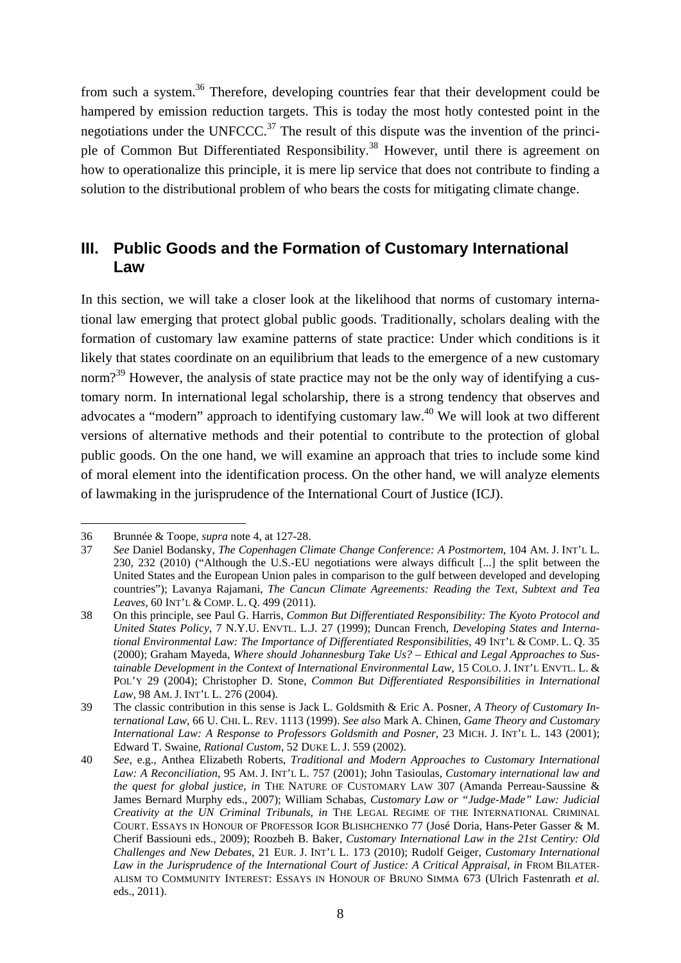from such a system.36 Therefore, developing countries fear that their development could be hampered by emission reduction targets. This is today the most hotly contested point in the negotiations under the UNFCCC.<sup>37</sup> The result of this dispute was the invention of the principle of Common But Differentiated Responsibility.<sup>38</sup> However, until there is agreement on how to operationalize this principle, it is mere lip service that does not contribute to finding a solution to the distributional problem of who bears the costs for mitigating climate change.

## **III. Public Goods and the Formation of Customary International Law**

In this section, we will take a closer look at the likelihood that norms of customary international law emerging that protect global public goods. Traditionally, scholars dealing with the formation of customary law examine patterns of state practice: Under which conditions is it likely that states coordinate on an equilibrium that leads to the emergence of a new customary norm?<sup>39</sup> However, the analysis of state practice may not be the only way of identifying a customary norm. In international legal scholarship, there is a strong tendency that observes and advocates a "modern" approach to identifying customary law.<sup>40</sup> We will look at two different versions of alternative methods and their potential to contribute to the protection of global public goods. On the one hand, we will examine an approach that tries to include some kind of moral element into the identification process. On the other hand, we will analyze elements of lawmaking in the jurisprudence of the International Court of Justice (ICJ).

<sup>36</sup> Brunnée & Toope, *supra* note 4, at 127-28.

<sup>37</sup> *See* Daniel Bodansky, *The Copenhagen Climate Change Conference: A Postmortem*, 104 AM. J. INT'L L. 230, 232 (2010) ("Although the U.S.-EU negotiations were always difficult [...] the split between the United States and the European Union pales in comparison to the gulf between developed and developing countries"); Lavanya Rajamani, *The Cancun Climate Agreements: Reading the Text, Subtext and Tea Leaves*, 60 INT'L & COMP. L. Q. 499 (2011).

<sup>38</sup> On this principle, see Paul G. Harris, *Common But Differentiated Responsibility: The Kyoto Protocol and United States Policy*, 7 N.Y.U. ENVTL. L.J. 27 (1999); Duncan French, *Developing States and International Environmental Law: The Importance of Differentiated Responsibilities*, 49 INT'L & COMP. L. Q. 35 (2000); Graham Mayeda, *Where should Johannesburg Take Us? – Ethical and Legal Approaches to Sustainable Development in the Context of International Environmental Law*, 15 COLO. J. INT'L ENVTL. L. & POL'Y 29 (2004); Christopher D. Stone, *Common But Differentiated Responsibilities in International Law*, 98 AM. J. INT'L L. 276 (2004).

<sup>39</sup> The classic contribution in this sense is Jack L. Goldsmith & Eric A. Posner, *A Theory of Customary International Law*, 66 U. CHI. L. REV. 1113 (1999). *See also* Mark A. Chinen, *Game Theory and Customary International Law: A Response to Professors Goldsmith and Posner*, 23 MICH. J. INT'L L. 143 (2001); Edward T. Swaine, *Rational Custom*, 52 DUKE L. J. 559 (2002).

<sup>40</sup> *See*, e.g., Anthea Elizabeth Roberts, *Traditional and Modern Approaches to Customary International Law: A Reconciliation*, 95 AM. J. INT'L L. 757 (2001); John Tasioulas, *Customary international law and the quest for global justice*, *in* THE NATURE OF CUSTOMARY LAW 307 (Amanda Perreau-Saussine & James Bernard Murphy eds., 2007); William Schabas, *Customary Law or "Judge-Made" Law: Judicial Creativity at the UN Criminal Tribunals*, *in* THE LEGAL REGIME OF THE INTERNATIONAL CRIMINAL COURT. ESSAYS IN HONOUR OF PROFESSOR IGOR BLISHCHENKO 77 (José Doria, Hans-Peter Gasser & M. Cherif Bassiouni eds., 2009); Roozbeh B. Baker, *Customary International Law in the 21st Centiry: Old Challenges and New Debates*, 21 EUR. J. INT'L L. 173 (2010); Rudolf Geiger, *Customary International Law in the Jurisprudence of the International Court of Justice: A Critical Appraisal*, *in* FROM BILATER-ALISM TO COMMUNITY INTEREST: ESSAYS IN HONOUR OF BRUNO SIMMA 673 (Ulrich Fastenrath *et al.* eds., 2011).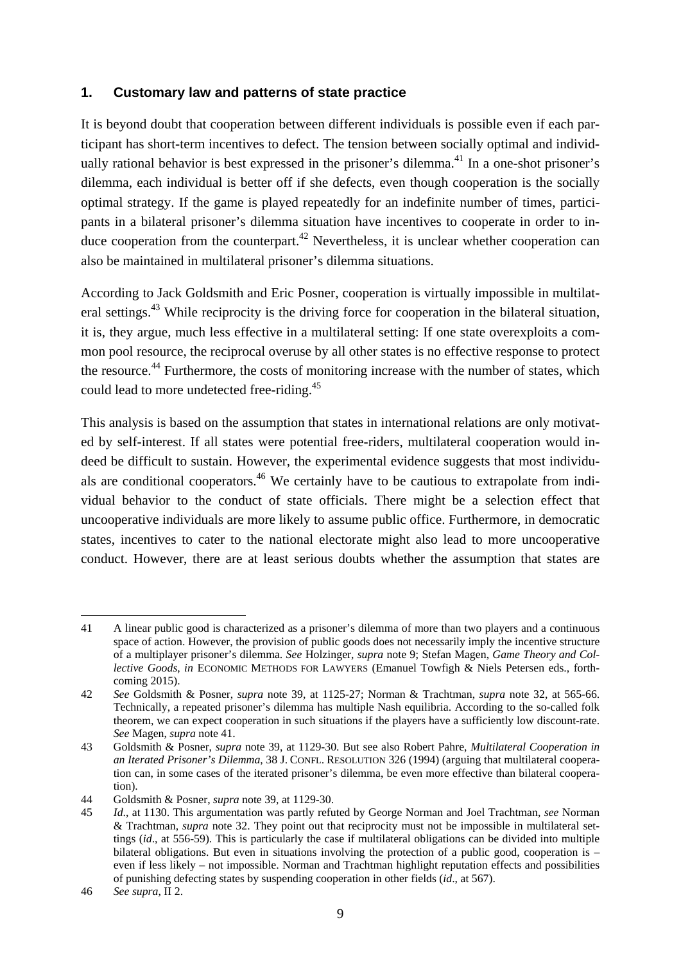### **1. Customary law and patterns of state practice**

It is beyond doubt that cooperation between different individuals is possible even if each participant has short-term incentives to defect. The tension between socially optimal and individually rational behavior is best expressed in the prisoner's dilemma.<sup>41</sup> In a one-shot prisoner's dilemma, each individual is better off if she defects, even though cooperation is the socially optimal strategy. If the game is played repeatedly for an indefinite number of times, participants in a bilateral prisoner's dilemma situation have incentives to cooperate in order to induce cooperation from the counterpart.<sup>42</sup> Nevertheless, it is unclear whether cooperation can also be maintained in multilateral prisoner's dilemma situations.

According to Jack Goldsmith and Eric Posner, cooperation is virtually impossible in multilateral settings.<sup>43</sup> While reciprocity is the driving force for cooperation in the bilateral situation, it is, they argue, much less effective in a multilateral setting: If one state overexploits a common pool resource, the reciprocal overuse by all other states is no effective response to protect the resource.<sup>44</sup> Furthermore, the costs of monitoring increase with the number of states, which could lead to more undetected free-riding.45

This analysis is based on the assumption that states in international relations are only motivated by self-interest. If all states were potential free-riders, multilateral cooperation would indeed be difficult to sustain. However, the experimental evidence suggests that most individuals are conditional cooperators.<sup>46</sup> We certainly have to be cautious to extrapolate from individual behavior to the conduct of state officials. There might be a selection effect that uncooperative individuals are more likely to assume public office. Furthermore, in democratic states, incentives to cater to the national electorate might also lead to more uncooperative conduct. However, there are at least serious doubts whether the assumption that states are

<sup>41</sup> A linear public good is characterized as a prisoner's dilemma of more than two players and a continuous space of action. However, the provision of public goods does not necessarily imply the incentive structure of a multiplayer prisoner's dilemma. *See* Holzinger, *supra* note 9; Stefan Magen, *Game Theory and Collective Goods*, *in* ECONOMIC METHODS FOR LAWYERS (Emanuel Towfigh & Niels Petersen eds., forthcoming 2015).

<sup>42</sup> *See* Goldsmith & Posner, *supra* note 39, at 1125-27; Norman & Trachtman, *supra* note 32, at 565-66. Technically, a repeated prisoner's dilemma has multiple Nash equilibria. According to the so-called folk theorem, we can expect cooperation in such situations if the players have a sufficiently low discount-rate. *See* Magen, *supra* note 41.

<sup>43</sup> Goldsmith & Posner, *supra* note 39, at 1129-30. But see also Robert Pahre, *Multilateral Cooperation in an Iterated Prisoner's Dilemma*, 38 J. CONFL. RESOLUTION 326 (1994) (arguing that multilateral cooperation can, in some cases of the iterated prisoner's dilemma, be even more effective than bilateral cooperation).

<sup>44</sup> Goldsmith & Posner, *supra* note 39, at 1129-30.

<sup>45</sup> *Id*., at 1130. This argumentation was partly refuted by George Norman and Joel Trachtman, *see* Norman & Trachtman, *supra* note 32. They point out that reciprocity must not be impossible in multilateral settings (*id*., at 556-59). This is particularly the case if multilateral obligations can be divided into multiple bilateral obligations. But even in situations involving the protection of a public good, cooperation is – even if less likely – not impossible. Norman and Trachtman highlight reputation effects and possibilities of punishing defecting states by suspending cooperation in other fields (*id*., at 567).

<sup>46</sup> *See supra*, II 2.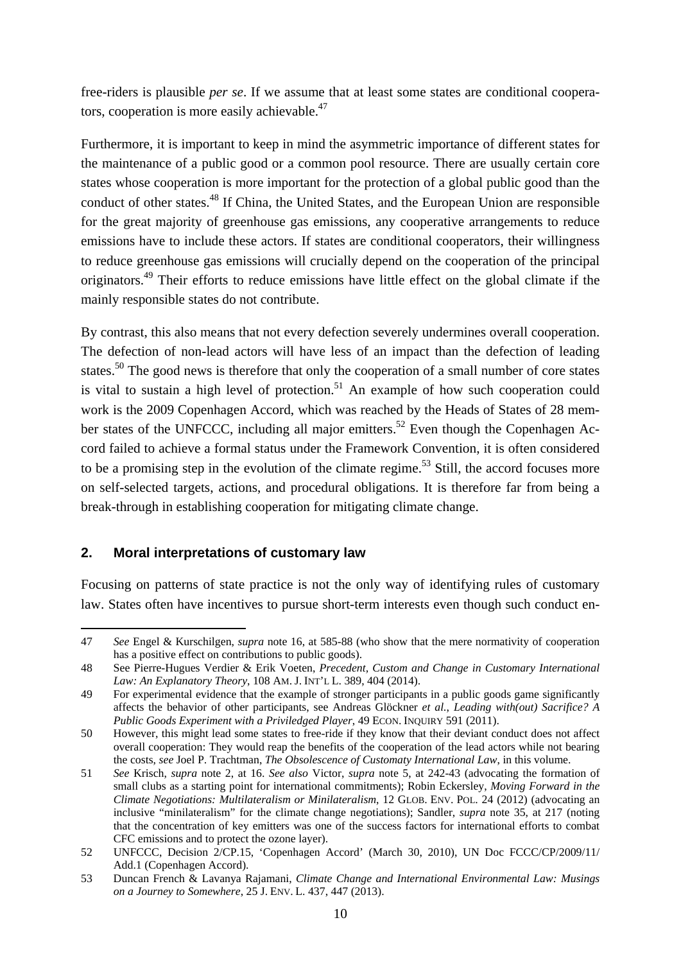free-riders is plausible *per se*. If we assume that at least some states are conditional cooperators, cooperation is more easily achievable. $47$ 

Furthermore, it is important to keep in mind the asymmetric importance of different states for the maintenance of a public good or a common pool resource. There are usually certain core states whose cooperation is more important for the protection of a global public good than the conduct of other states.48 If China, the United States, and the European Union are responsible for the great majority of greenhouse gas emissions, any cooperative arrangements to reduce emissions have to include these actors. If states are conditional cooperators, their willingness to reduce greenhouse gas emissions will crucially depend on the cooperation of the principal originators.<sup>49</sup> Their efforts to reduce emissions have little effect on the global climate if the mainly responsible states do not contribute.

By contrast, this also means that not every defection severely undermines overall cooperation. The defection of non-lead actors will have less of an impact than the defection of leading states.<sup>50</sup> The good news is therefore that only the cooperation of a small number of core states is vital to sustain a high level of protection.<sup>51</sup> An example of how such cooperation could work is the 2009 Copenhagen Accord, which was reached by the Heads of States of 28 member states of the UNFCCC, including all major emitters.<sup>52</sup> Even though the Copenhagen Accord failed to achieve a formal status under the Framework Convention, it is often considered to be a promising step in the evolution of the climate regime.<sup>53</sup> Still, the accord focuses more on self-selected targets, actions, and procedural obligations. It is therefore far from being a break-through in establishing cooperation for mitigating climate change.

## **2. Moral interpretations of customary law**

-

Focusing on patterns of state practice is not the only way of identifying rules of customary law. States often have incentives to pursue short-term interests even though such conduct en-

<sup>47</sup> *See* Engel & Kurschilgen, *supra* note 16, at 585-88 (who show that the mere normativity of cooperation has a positive effect on contributions to public goods).

<sup>48</sup> See Pierre-Hugues Verdier & Erik Voeten, *Precedent, Custom and Change in Customary International Law: An Explanatory Theory*, 108 AM. J. INT'L L. 389, 404 (2014).

<sup>49</sup> For experimental evidence that the example of stronger participants in a public goods game significantly affects the behavior of other participants, see Andreas Glöckner *et al.*, *Leading with(out) Sacrifice? A Public Goods Experiment with a Priviledged Player*, 49 ECON. INQUIRY 591 (2011).

<sup>50</sup> However, this might lead some states to free-ride if they know that their deviant conduct does not affect overall cooperation: They would reap the benefits of the cooperation of the lead actors while not bearing the costs, *see* Joel P. Trachtman, *The Obsolescence of Customaty International Law*, in this volume.

<sup>51</sup> *See* Krisch, *supra* note 2, at 16. *See also* Victor, *supra* note 5, at 242-43 (advocating the formation of small clubs as a starting point for international commitments); Robin Eckersley, *Moving Forward in the Climate Negotiations: Multilateralism or Minilateralism*, 12 GLOB. ENV. POL. 24 (2012) (advocating an inclusive "minilateralism" for the climate change negotiations); Sandler, *supra* note 35, at 217 (noting that the concentration of key emitters was one of the success factors for international efforts to combat CFC emissions and to protect the ozone layer).

<sup>52</sup> UNFCCC, Decision 2/CP.15, 'Copenhagen Accord' (March 30, 2010), UN Doc FCCC/CP/2009/11/ Add.1 (Copenhagen Accord).

<sup>53</sup> Duncan French & Lavanya Rajamani, *Climate Change and International Environmental Law: Musings on a Journey to Somewhere*, 25 J. ENV. L. 437, 447 (2013).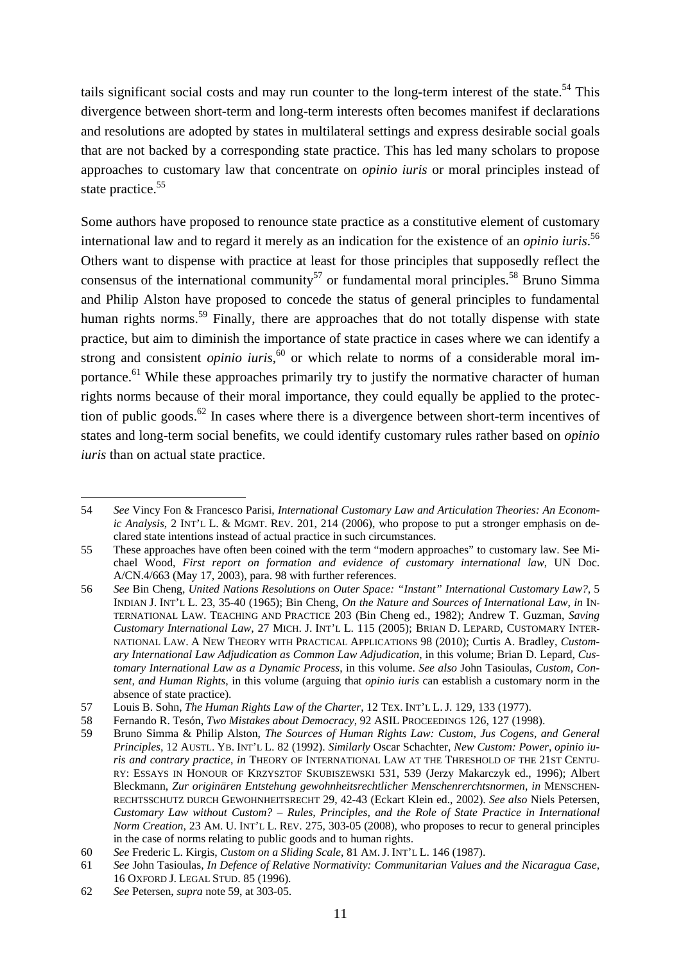tails significant social costs and may run counter to the long-term interest of the state.<sup>54</sup> This divergence between short-term and long-term interests often becomes manifest if declarations and resolutions are adopted by states in multilateral settings and express desirable social goals that are not backed by a corresponding state practice. This has led many scholars to propose approaches to customary law that concentrate on *opinio iuris* or moral principles instead of state practice.<sup>55</sup>

Some authors have proposed to renounce state practice as a constitutive element of customary international law and to regard it merely as an indication for the existence of an *opinio iuris*. 56 Others want to dispense with practice at least for those principles that supposedly reflect the consensus of the international community<sup>57</sup> or fundamental moral principles.<sup>58</sup> Bruno Simma and Philip Alston have proposed to concede the status of general principles to fundamental human rights norms.<sup>59</sup> Finally, there are approaches that do not totally dispense with state practice, but aim to diminish the importance of state practice in cases where we can identify a strong and consistent *opinio iuris*,<sup>60</sup> or which relate to norms of a considerable moral importance.<sup>61</sup> While these approaches primarily try to justify the normative character of human rights norms because of their moral importance, they could equally be applied to the protection of public goods.<sup>62</sup> In cases where there is a divergence between short-term incentives of states and long-term social benefits, we could identify customary rules rather based on *opinio iuris* than on actual state practice.

<sup>-</sup>54 *See* Vincy Fon & Francesco Parisi, *International Customary Law and Articulation Theories: An Economic Analysis*, 2 INT'L L. & MGMT. REV. 201, 214 (2006), who propose to put a stronger emphasis on declared state intentions instead of actual practice in such circumstances.

<sup>55</sup> These approaches have often been coined with the term "modern approaches" to customary law. See Michael Wood, *First report on formation and evidence of customary international law*, UN Doc. A/CN.4/663 (May 17, 2003), para. 98 with further references.

<sup>56</sup> *See* Bin Cheng, *United Nations Resolutions on Outer Space: "Instant" International Customary Law?*, 5 INDIAN J. INT'L L. 23, 35-40 (1965); Bin Cheng, *On the Nature and Sources of International Law*, *in* IN-TERNATIONAL LAW. TEACHING AND PRACTICE 203 (Bin Cheng ed., 1982); Andrew T. Guzman, *Saving Customary International Law*, 27 MICH. J. INT'L L. 115 (2005); BRIAN D. LEPARD, CUSTOMARY INTER-NATIONAL LAW. A NEW THEORY WITH PRACTICAL APPLICATIONS 98 (2010); Curtis A. Bradley, *Customary International Law Adjudication as Common Law Adjudication*, in this volume; Brian D. Lepard, *Customary International Law as a Dynamic Process*, in this volume. *See also* John Tasioulas, *Custom, Consent, and Human Rights*, in this volume (arguing that *opinio iuris* can establish a customary norm in the absence of state practice).

<sup>57</sup> Louis B. Sohn, *The Human Rights Law of the Charter*, 12 TEX. INT'L L. J. 129, 133 (1977).

<sup>58</sup> Fernando R. Tesón, *Two Mistakes about Democracy*, 92 ASIL PROCEEDINGS 126, 127 (1998).

<sup>59</sup> Bruno Simma & Philip Alston, *The Sources of Human Rights Law: Custom, Jus Cogens, and General Principles*, 12 AUSTL. YB. INT'L L. 82 (1992). *Similarly* Oscar Schachter, *New Custom: Power, opinio iuris and contrary practice*, *in* THEORY OF INTERNATIONAL LAW AT THE THRESHOLD OF THE 21ST CENTU-RY: ESSAYS IN HONOUR OF KRZYSZTOF SKUBISZEWSKI 531, 539 (Jerzy Makarczyk ed., 1996); Albert Bleckmann, *Zur originären Entstehung gewohnheitsrechtlicher Menschenrerchtsnormen*, *in* MENSCHEN-RECHTSSCHUTZ DURCH GEWOHNHEITSRECHT 29, 42-43 (Eckart Klein ed., 2002). *See also* Niels Petersen, *Customary Law without Custom? – Rules, Principles, and the Role of State Practice in International Norm Creation*, 23 AM. U. INT'L L. REV. 275, 303-05 (2008), who proposes to recur to general principles in the case of norms relating to public goods and to human rights.

<sup>60</sup> *See* Frederic L. Kirgis, *Custom on a Sliding Scale*, 81 AM.J. INT'L L. 146 (1987).

<sup>61</sup> *See* John Tasioulas, *In Defence of Relative Normativity: Communitarian Values and the Nicaragua Case*, 16 OXFORD J. LEGAL STUD. 85 (1996).

<sup>62</sup> *See* Petersen, *supra* note 59, at 303-05.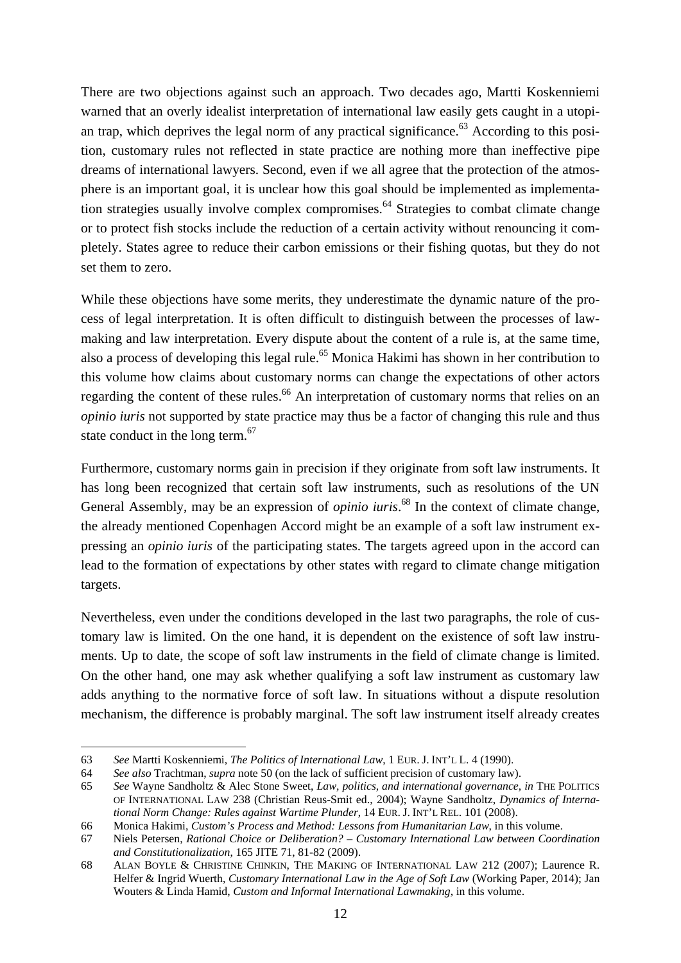There are two objections against such an approach. Two decades ago, Martti Koskenniemi warned that an overly idealist interpretation of international law easily gets caught in a utopian trap, which deprives the legal norm of any practical significance.<sup>63</sup> According to this position, customary rules not reflected in state practice are nothing more than ineffective pipe dreams of international lawyers. Second, even if we all agree that the protection of the atmosphere is an important goal, it is unclear how this goal should be implemented as implementation strategies usually involve complex compromises.<sup>64</sup> Strategies to combat climate change or to protect fish stocks include the reduction of a certain activity without renouncing it completely. States agree to reduce their carbon emissions or their fishing quotas, but they do not set them to zero.

While these objections have some merits, they underestimate the dynamic nature of the process of legal interpretation. It is often difficult to distinguish between the processes of lawmaking and law interpretation. Every dispute about the content of a rule is, at the same time, also a process of developing this legal rule.<sup>65</sup> Monica Hakimi has shown in her contribution to this volume how claims about customary norms can change the expectations of other actors regarding the content of these rules.<sup>66</sup> An interpretation of customary norms that relies on an *opinio iuris* not supported by state practice may thus be a factor of changing this rule and thus state conduct in the long term.<sup>67</sup>

Furthermore, customary norms gain in precision if they originate from soft law instruments. It has long been recognized that certain soft law instruments, such as resolutions of the UN General Assembly, may be an expression of *opinio iuris*. 68 In the context of climate change, the already mentioned Copenhagen Accord might be an example of a soft law instrument expressing an *opinio iuris* of the participating states. The targets agreed upon in the accord can lead to the formation of expectations by other states with regard to climate change mitigation targets.

Nevertheless, even under the conditions developed in the last two paragraphs, the role of customary law is limited. On the one hand, it is dependent on the existence of soft law instruments. Up to date, the scope of soft law instruments in the field of climate change is limited. On the other hand, one may ask whether qualifying a soft law instrument as customary law adds anything to the normative force of soft law. In situations without a dispute resolution mechanism, the difference is probably marginal. The soft law instrument itself already creates

<sup>63</sup> *See* Martti Koskenniemi, *The Politics of International Law*, 1 EUR. J. INT'L L. 4 (1990).

<sup>64</sup> *See also* Trachtman, *supra* note 50 (on the lack of sufficient precision of customary law).

<sup>65</sup> *See* Wayne Sandholtz & Alec Stone Sweet, *Law, politics, and international governance*, *in* THE POLITICS OF INTERNATIONAL LAW 238 (Christian Reus-Smit ed., 2004); Wayne Sandholtz, *Dynamics of International Norm Change: Rules against Wartime Plunder*, 14 EUR. J. INT'L REL. 101 (2008).

<sup>66</sup> Monica Hakimi, *Custom's Process and Method: Lessons from Humanitarian Law*, in this volume.

<sup>67</sup> Niels Petersen, *Rational Choice or Deliberation? – Customary International Law between Coordination and Constitutionalization*, 165 JITE 71, 81-82 (2009).

<sup>68</sup> ALAN BOYLE & CHRISTINE CHINKIN, THE MAKING OF INTERNATIONAL LAW 212 (2007); Laurence R. Helfer & Ingrid Wuerth, *Customary International Law in the Age of Soft Law* (Working Paper, 2014); Jan Wouters & Linda Hamid, *Custom and Informal International Lawmaking*, in this volume.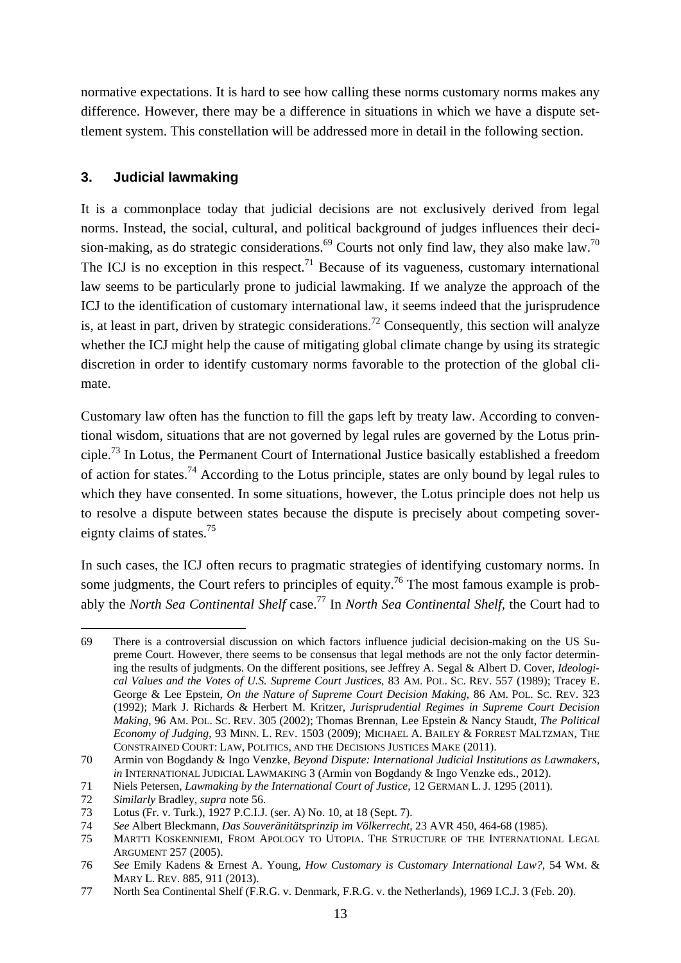normative expectations. It is hard to see how calling these norms customary norms makes any difference. However, there may be a difference in situations in which we have a dispute settlement system. This constellation will be addressed more in detail in the following section.

#### **3. Judicial lawmaking**

It is a commonplace today that judicial decisions are not exclusively derived from legal norms. Instead, the social, cultural, and political background of judges influences their decision-making, as do strategic considerations.<sup>69</sup> Courts not only find law, they also make law.<sup>70</sup> The ICJ is no exception in this respect.<sup>71</sup> Because of its vagueness, customary international law seems to be particularly prone to judicial lawmaking. If we analyze the approach of the ICJ to the identification of customary international law, it seems indeed that the jurisprudence is, at least in part, driven by strategic considerations.<sup>72</sup> Consequently, this section will analyze whether the ICJ might help the cause of mitigating global climate change by using its strategic discretion in order to identify customary norms favorable to the protection of the global climate.

Customary law often has the function to fill the gaps left by treaty law. According to conventional wisdom, situations that are not governed by legal rules are governed by the Lotus principle.73 In Lotus, the Permanent Court of International Justice basically established a freedom of action for states.74 According to the Lotus principle, states are only bound by legal rules to which they have consented. In some situations, however, the Lotus principle does not help us to resolve a dispute between states because the dispute is precisely about competing sovereignty claims of states.75

In such cases, the ICJ often recurs to pragmatic strategies of identifying customary norms. In some judgments, the Court refers to principles of equity.<sup>76</sup> The most famous example is probably the *North Sea Continental Shelf* case.77 In *North Sea Continental Shelf*, the Court had to

<sup>-</sup>69 There is a controversial discussion on which factors influence judicial decision-making on the US Supreme Court. However, there seems to be consensus that legal methods are not the only factor determining the results of judgments. On the different positions, see Jeffrey A. Segal & Albert D. Cover, *Ideological Values and the Votes of U.S. Supreme Court Justices*, 83 AM. POL. SC. REV. 557 (1989); Tracey E. George & Lee Epstein, *On the Nature of Supreme Court Decision Making*, 86 AM. POL. SC. REV. 323 (1992); Mark J. Richards & Herbert M. Kritzer, *Jurisprudential Regimes in Supreme Court Decision Making*, 96 AM. POL. SC. REV. 305 (2002); Thomas Brennan, Lee Epstein & Nancy Staudt, *The Political Economy of Judging*, 93 MINN. L. REV. 1503 (2009); MICHAEL A. BAILEY & FORREST MALTZMAN, THE CONSTRAINED COURT: LAW, POLITICS, AND THE DECISIONS JUSTICES MAKE (2011).

<sup>70</sup> Armin von Bogdandy & Ingo Venzke, *Beyond Dispute: International Judicial Institutions as Lawmakers*, *in* INTERNATIONAL JUDICIAL LAWMAKING 3 (Armin von Bogdandy & Ingo Venzke eds., 2012).

<sup>71</sup> Niels Petersen, *Lawmaking by the International Court of Justice*, 12 GERMAN L. J. 1295 (2011).

<sup>72</sup> *Similarly* Bradley, *supra* note 56.

<sup>73</sup> Lotus (Fr. v. Turk.), 1927 P.C.I.J. (ser. A) No. 10, at 18 (Sept. 7).

<sup>74</sup> *See* Albert Bleckmann, *Das Souveränitätsprinzip im Völkerrecht*, 23 AVR 450, 464-68 (1985).

<sup>75</sup> MARTTI KOSKENNIEMI, FROM APOLOGY TO UTOPIA. THE STRUCTURE OF THE INTERNATIONAL LEGAL ARGUMENT 257 (2005).

<sup>76</sup> *See* Emily Kadens & Ernest A. Young, *How Customary is Customary International Law?*, 54 WM. & MARY L. REV. 885, 911 (2013).

<sup>77</sup> North Sea Continental Shelf (F.R.G. v. Denmark, F.R.G. v. the Netherlands), 1969 I.C.J. 3 (Feb. 20).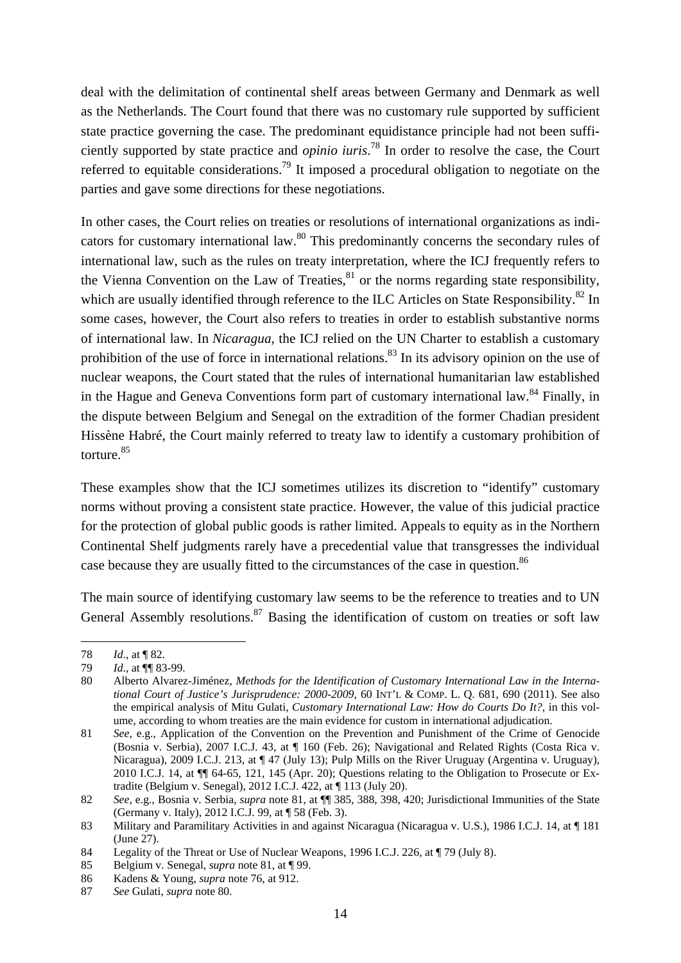deal with the delimitation of continental shelf areas between Germany and Denmark as well as the Netherlands. The Court found that there was no customary rule supported by sufficient state practice governing the case. The predominant equidistance principle had not been sufficiently supported by state practice and *opinio iuris*. 78 In order to resolve the case, the Court referred to equitable considerations.<sup>79</sup> It imposed a procedural obligation to negotiate on the parties and gave some directions for these negotiations.

In other cases, the Court relies on treaties or resolutions of international organizations as indicators for customary international law.<sup>80</sup> This predominantly concerns the secondary rules of international law, such as the rules on treaty interpretation, where the ICJ frequently refers to the Vienna Convention on the Law of Treaties, ${}^{81}$  or the norms regarding state responsibility, which are usually identified through reference to the ILC Articles on State Responsibility.<sup>82</sup> In some cases, however, the Court also refers to treaties in order to establish substantive norms of international law. In *Nicaragua*, the ICJ relied on the UN Charter to establish a customary prohibition of the use of force in international relations.<sup>83</sup> In its advisory opinion on the use of nuclear weapons, the Court stated that the rules of international humanitarian law established in the Hague and Geneva Conventions form part of customary international law.<sup>84</sup> Finally, in the dispute between Belgium and Senegal on the extradition of the former Chadian president Hissène Habré, the Court mainly referred to treaty law to identify a customary prohibition of torture.85

These examples show that the ICJ sometimes utilizes its discretion to "identify" customary norms without proving a consistent state practice. However, the value of this judicial practice for the protection of global public goods is rather limited. Appeals to equity as in the Northern Continental Shelf judgments rarely have a precedential value that transgresses the individual case because they are usually fitted to the circumstances of the case in question.<sup>86</sup>

The main source of identifying customary law seems to be the reference to treaties and to UN General Assembly resolutions. $87$  Basing the identification of custom on treaties or soft law

<sup>78</sup> *Id*., at ¶ 82.

<sup>79</sup> *Id*., at ¶¶ 83-99.

<sup>80</sup> Alberto Alvarez-Jiménez, *Methods for the Identification of Customary International Law in the International Court of Justice's Jurisprudence: 2000-2009*, 60 INT'L & COMP. L. Q. 681, 690 (2011). See also the empirical analysis of Mitu Gulati, *Customary International Law: How do Courts Do It?*, in this volume, according to whom treaties are the main evidence for custom in international adjudication.

<sup>81</sup> *See*, e.g., Application of the Convention on the Prevention and Punishment of the Crime of Genocide (Bosnia v. Serbia), 2007 I.C.J. 43, at ¶ 160 (Feb. 26); Navigational and Related Rights (Costa Rica v. Nicaragua), 2009 I.C.J. 213, at ¶ 47 (July 13); Pulp Mills on the River Uruguay (Argentina v. Uruguay), 2010 I.C.J. 14, at ¶¶ 64-65, 121, 145 (Apr. 20); Questions relating to the Obligation to Prosecute or Extradite (Belgium v. Senegal), 2012 I.C.J. 422, at ¶ 113 (July 20).

<sup>82</sup> *See*, e.g., Bosnia v. Serbia, *supra* note 81, at ¶¶ 385, 388, 398, 420; Jurisdictional Immunities of the State (Germany v. Italy), 2012 I.C.J. 99, at ¶ 58 (Feb. 3).

<sup>83</sup> Military and Paramilitary Activities in and against Nicaragua (Nicaragua v. U.S.), 1986 I.C.J. 14, at ¶ 181 (June 27).

<sup>84</sup> Legality of the Threat or Use of Nuclear Weapons, 1996 I.C.J. 226, at ¶ 79 (July 8).

<sup>85</sup> Belgium v. Senegal, *supra* note 81, at ¶ 99.

<sup>86</sup> Kadens & Young, *supra* note 76, at 912.

<sup>87</sup> *See* Gulati, *supra* note 80.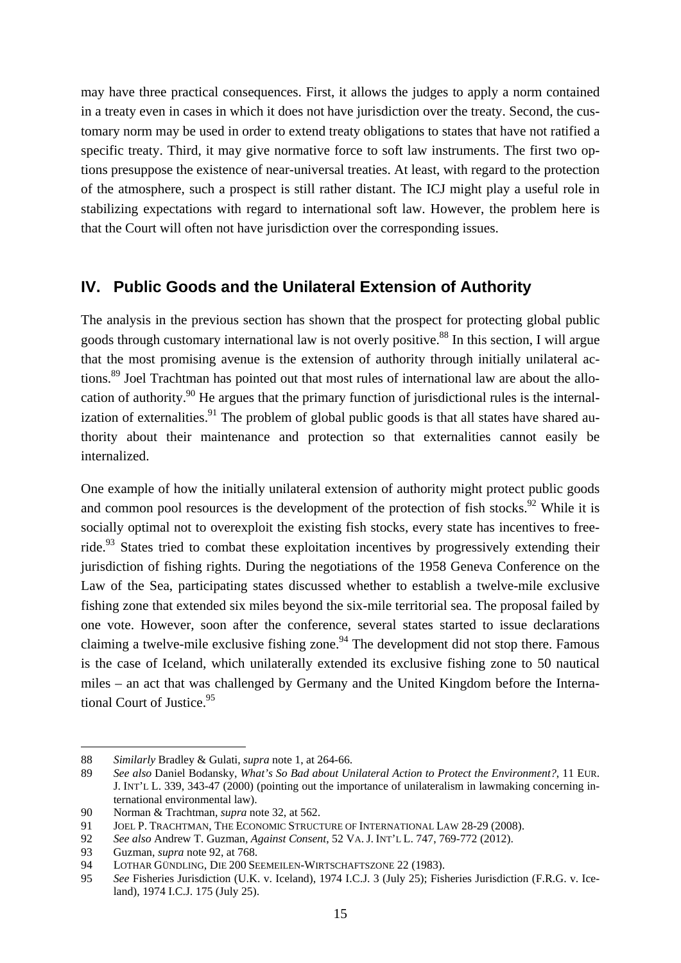may have three practical consequences. First, it allows the judges to apply a norm contained in a treaty even in cases in which it does not have jurisdiction over the treaty. Second, the customary norm may be used in order to extend treaty obligations to states that have not ratified a specific treaty. Third, it may give normative force to soft law instruments. The first two options presuppose the existence of near-universal treaties. At least, with regard to the protection of the atmosphere, such a prospect is still rather distant. The ICJ might play a useful role in stabilizing expectations with regard to international soft law. However, the problem here is that the Court will often not have jurisdiction over the corresponding issues.

## **IV. Public Goods and the Unilateral Extension of Authority**

The analysis in the previous section has shown that the prospect for protecting global public goods through customary international law is not overly positive.<sup>88</sup> In this section, I will argue that the most promising avenue is the extension of authority through initially unilateral actions.<sup>89</sup> Joel Trachtman has pointed out that most rules of international law are about the allocation of authority.90 He argues that the primary function of jurisdictional rules is the internalization of externalities.<sup>91</sup> The problem of global public goods is that all states have shared authority about their maintenance and protection so that externalities cannot easily be internalized.

One example of how the initially unilateral extension of authority might protect public goods and common pool resources is the development of the protection of fish stocks.<sup>92</sup> While it is socially optimal not to overexploit the existing fish stocks, every state has incentives to freeride.<sup>93</sup> States tried to combat these exploitation incentives by progressively extending their jurisdiction of fishing rights. During the negotiations of the 1958 Geneva Conference on the Law of the Sea, participating states discussed whether to establish a twelve-mile exclusive fishing zone that extended six miles beyond the six-mile territorial sea. The proposal failed by one vote. However, soon after the conference, several states started to issue declarations claiming a twelve-mile exclusive fishing zone.<sup>94</sup> The development did not stop there. Famous is the case of Iceland, which unilaterally extended its exclusive fishing zone to 50 nautical miles – an act that was challenged by Germany and the United Kingdom before the International Court of Justice.<sup>95</sup>

<sup>88</sup> *Similarly* Bradley & Gulati, *supra* note 1, at 264-66.

<sup>89</sup> *See also* Daniel Bodansky, *What's So Bad about Unilateral Action to Protect the Environment?*, 11 EUR. J. INT'L L. 339, 343-47 (2000) (pointing out the importance of unilateralism in lawmaking concerning international environmental law).

<sup>90</sup> Norman & Trachtman, *supra* note 32, at 562.

<sup>91</sup> JOEL P. TRACHTMAN, THE ECONOMIC STRUCTURE OF INTERNATIONAL LAW 28-29 (2008).

<sup>92</sup> *See also* Andrew T. Guzman, *Against Consent*, 52 VA. J. INT'L L. 747, 769-772 (2012).

<sup>93</sup> Guzman, *supra* note 92, at 768.

<sup>94</sup> LOTHAR GÜNDLING, DIE 200 SEEMEILEN-WIRTSCHAFTSZONE 22 (1983).<br>95 See Fisheries Jurisdiction (U.K. v. Iceland), 1974 I.C.J. 3 (July 25); Fisl

See Fisheries Jurisdiction (U.K. v. Iceland), 1974 I.C.J. 3 (July 25); Fisheries Jurisdiction (F.R.G. v. Iceland), 1974 I.C.J. 175 (July 25).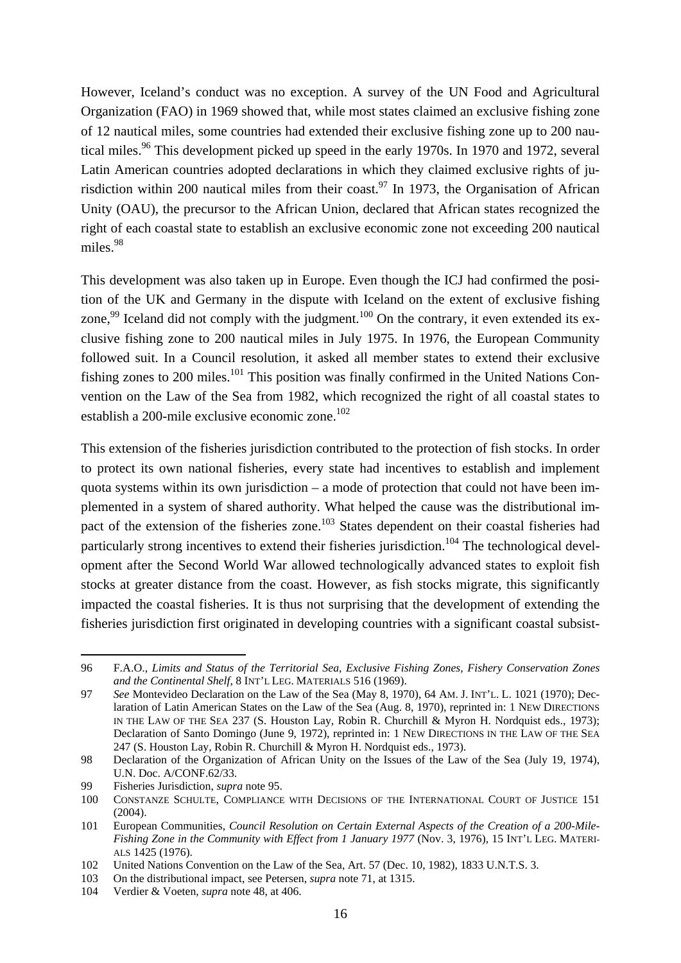However, Iceland's conduct was no exception. A survey of the UN Food and Agricultural Organization (FAO) in 1969 showed that, while most states claimed an exclusive fishing zone of 12 nautical miles, some countries had extended their exclusive fishing zone up to 200 nautical miles.<sup>96</sup> This development picked up speed in the early 1970s. In 1970 and 1972, several Latin American countries adopted declarations in which they claimed exclusive rights of jurisdiction within 200 nautical miles from their coast.<sup>97</sup> In 1973, the Organisation of African Unity (OAU), the precursor to the African Union, declared that African states recognized the right of each coastal state to establish an exclusive economic zone not exceeding 200 nautical miles.<sup>98</sup>

This development was also taken up in Europe. Even though the ICJ had confirmed the position of the UK and Germany in the dispute with Iceland on the extent of exclusive fishing zone,<sup>99</sup> Iceland did not comply with the judgment.<sup>100</sup> On the contrary, it even extended its exclusive fishing zone to 200 nautical miles in July 1975. In 1976, the European Community followed suit. In a Council resolution, it asked all member states to extend their exclusive fishing zones to 200 miles.<sup>101</sup> This position was finally confirmed in the United Nations Convention on the Law of the Sea from 1982, which recognized the right of all coastal states to establish a 200-mile exclusive economic zone.<sup>102</sup>

This extension of the fisheries jurisdiction contributed to the protection of fish stocks. In order to protect its own national fisheries, every state had incentives to establish and implement quota systems within its own jurisdiction – a mode of protection that could not have been implemented in a system of shared authority. What helped the cause was the distributional impact of the extension of the fisheries zone.<sup>103</sup> States dependent on their coastal fisheries had particularly strong incentives to extend their fisheries jurisdiction.<sup>104</sup> The technological development after the Second World War allowed technologically advanced states to exploit fish stocks at greater distance from the coast. However, as fish stocks migrate, this significantly impacted the coastal fisheries. It is thus not surprising that the development of extending the fisheries jurisdiction first originated in developing countries with a significant coastal subsist-

<sup>96</sup> F.A.O., *Limits and Status of the Territorial Sea, Exclusive Fishing Zones, Fishery Conservation Zones and the Continental Shelf*, 8 INT'L LEG. MATERIALS 516 (1969).

<sup>97</sup> *See* Montevideo Declaration on the Law of the Sea (May 8, 1970), 64 AM. J. INT'L. L. 1021 (1970); Declaration of Latin American States on the Law of the Sea (Aug. 8, 1970), reprinted in: 1 NEW DIRECTIONS IN THE LAW OF THE SEA 237 (S. Houston Lay, Robin R. Churchill & Myron H. Nordquist eds., 1973); Declaration of Santo Domingo (June 9, 1972), reprinted in: 1 NEW DIRECTIONS IN THE LAW OF THE SEA 247 (S. Houston Lay, Robin R. Churchill & Myron H. Nordquist eds., 1973).

<sup>98</sup> Declaration of the Organization of African Unity on the Issues of the Law of the Sea (July 19, 1974), U.N. Doc. A/CONF.62/33.

<sup>99</sup> Fisheries Jurisdiction, *supra* note 95.

<sup>100</sup> CONSTANZE SCHULTE, COMPLIANCE WITH DECISIONS OF THE INTERNATIONAL COURT OF JUSTICE 151  $(2004)$ .

<sup>101</sup> European Communities, *Council Resolution on Certain External Aspects of the Creation of a 200-Mile-Fishing Zone in the Community with Effect from 1 January 1977* (Nov. 3, 1976), 15 INT'L LEG. MATERI-ALS 1425 (1976).

<sup>102</sup> United Nations Convention on the Law of the Sea, Art. 57 (Dec. 10, 1982), 1833 U.N.T.S. 3.

<sup>103</sup> On the distributional impact, see Petersen, *supra* note 71, at 1315.

<sup>104</sup> Verdier & Voeten, *supra* note 48, at 406.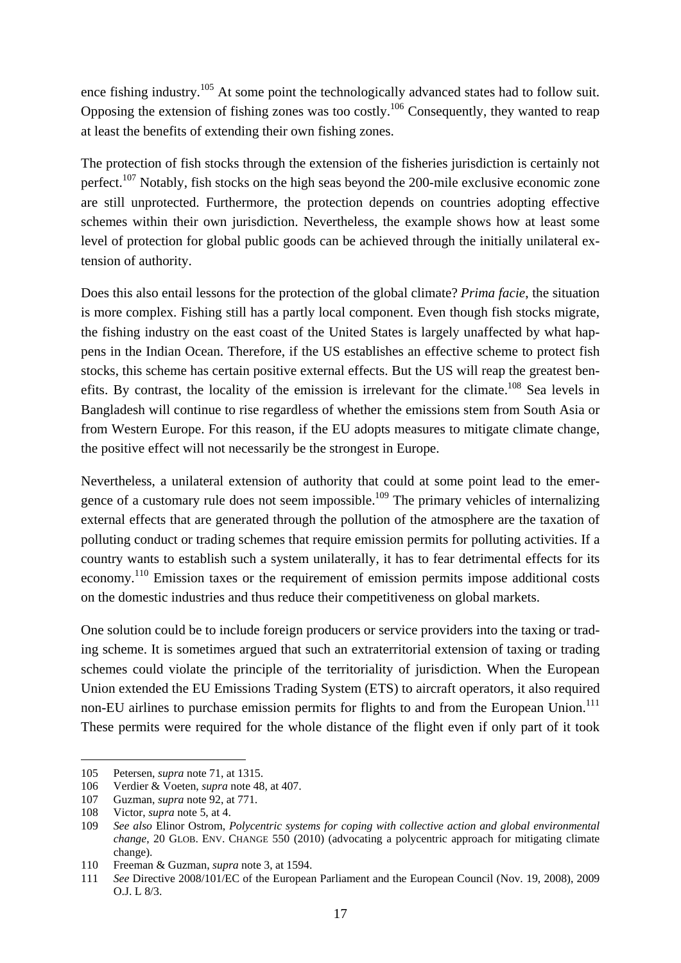ence fishing industry.<sup>105</sup> At some point the technologically advanced states had to follow suit. Opposing the extension of fishing zones was too costly.<sup>106</sup> Consequently, they wanted to reap at least the benefits of extending their own fishing zones.

The protection of fish stocks through the extension of the fisheries jurisdiction is certainly not perfect.<sup>107</sup> Notably, fish stocks on the high seas beyond the 200-mile exclusive economic zone are still unprotected. Furthermore, the protection depends on countries adopting effective schemes within their own jurisdiction. Nevertheless, the example shows how at least some level of protection for global public goods can be achieved through the initially unilateral extension of authority.

Does this also entail lessons for the protection of the global climate? *Prima facie*, the situation is more complex. Fishing still has a partly local component. Even though fish stocks migrate, the fishing industry on the east coast of the United States is largely unaffected by what happens in the Indian Ocean. Therefore, if the US establishes an effective scheme to protect fish stocks, this scheme has certain positive external effects. But the US will reap the greatest benefits. By contrast, the locality of the emission is irrelevant for the climate.<sup>108</sup> Sea levels in Bangladesh will continue to rise regardless of whether the emissions stem from South Asia or from Western Europe. For this reason, if the EU adopts measures to mitigate climate change, the positive effect will not necessarily be the strongest in Europe.

Nevertheless, a unilateral extension of authority that could at some point lead to the emergence of a customary rule does not seem impossible.<sup>109</sup> The primary vehicles of internalizing external effects that are generated through the pollution of the atmosphere are the taxation of polluting conduct or trading schemes that require emission permits for polluting activities. If a country wants to establish such a system unilaterally, it has to fear detrimental effects for its economy.110 Emission taxes or the requirement of emission permits impose additional costs on the domestic industries and thus reduce their competitiveness on global markets.

One solution could be to include foreign producers or service providers into the taxing or trading scheme. It is sometimes argued that such an extraterritorial extension of taxing or trading schemes could violate the principle of the territoriality of jurisdiction. When the European Union extended the EU Emissions Trading System (ETS) to aircraft operators, it also required non-EU airlines to purchase emission permits for flights to and from the European Union.<sup>111</sup> These permits were required for the whole distance of the flight even if only part of it took

<sup>-</sup>105 Petersen, *supra* note 71, at 1315.

<sup>106</sup> Verdier & Voeten, *supra* note 48, at 407.

<sup>107</sup> Guzman, *supra* note 92, at 771.

<sup>108</sup> Victor, *supra* note 5, at 4.

<sup>109</sup> *See also* Elinor Ostrom, *Polycentric systems for coping with collective action and global environmental change*, 20 GLOB. ENV. CHANGE 550 (2010) (advocating a polycentric approach for mitigating climate change).

<sup>110</sup> Freeman & Guzman, *supra* note 3, at 1594.

<sup>111</sup> *See* Directive 2008/101/EC of the European Parliament and the European Council (Nov. 19, 2008), 2009 O.J. L 8/3.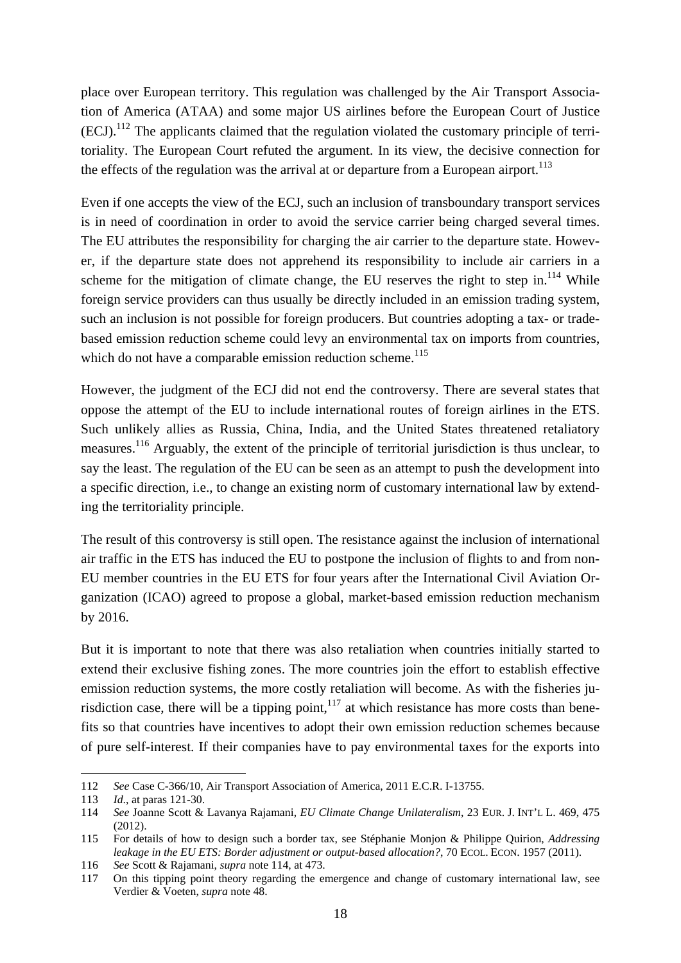place over European territory. This regulation was challenged by the Air Transport Association of America (ATAA) and some major US airlines before the European Court of Justice  $(ECJ).<sup>112</sup>$  The applicants claimed that the regulation violated the customary principle of territoriality. The European Court refuted the argument. In its view, the decisive connection for the effects of the regulation was the arrival at or departure from a European airport.<sup>113</sup>

Even if one accepts the view of the ECJ, such an inclusion of transboundary transport services is in need of coordination in order to avoid the service carrier being charged several times. The EU attributes the responsibility for charging the air carrier to the departure state. However, if the departure state does not apprehend its responsibility to include air carriers in a scheme for the mitigation of climate change, the EU reserves the right to step in. $114$  While foreign service providers can thus usually be directly included in an emission trading system, such an inclusion is not possible for foreign producers. But countries adopting a tax- or tradebased emission reduction scheme could levy an environmental tax on imports from countries, which do not have a comparable emission reduction scheme.<sup>115</sup>

However, the judgment of the ECJ did not end the controversy. There are several states that oppose the attempt of the EU to include international routes of foreign airlines in the ETS. Such unlikely allies as Russia, China, India, and the United States threatened retaliatory measures.116 Arguably, the extent of the principle of territorial jurisdiction is thus unclear, to say the least. The regulation of the EU can be seen as an attempt to push the development into a specific direction, i.e., to change an existing norm of customary international law by extending the territoriality principle.

The result of this controversy is still open. The resistance against the inclusion of international air traffic in the ETS has induced the EU to postpone the inclusion of flights to and from non-EU member countries in the EU ETS for four years after the International Civil Aviation Organization (ICAO) agreed to propose a global, market-based emission reduction mechanism by 2016.

But it is important to note that there was also retaliation when countries initially started to extend their exclusive fishing zones. The more countries join the effort to establish effective emission reduction systems, the more costly retaliation will become. As with the fisheries jurisdiction case, there will be a tipping point,  $117$  at which resistance has more costs than benefits so that countries have incentives to adopt their own emission reduction schemes because of pure self-interest. If their companies have to pay environmental taxes for the exports into

<sup>112</sup> *See* Case C-366/10, Air Transport Association of America, 2011 E.C.R. I-13755.

<sup>113</sup> *Id*., at paras 121-30.

<sup>114</sup> *See* Joanne Scott & Lavanya Rajamani, *EU Climate Change Unilateralism*, 23 EUR. J. INT'L L. 469, 475 (2012).

<sup>115</sup> For details of how to design such a border tax, see Stéphanie Monjon & Philippe Quirion, *Addressing leakage in the EU ETS: Border adjustment or output-based allocation?*, 70 ECOL. ECON. 1957 (2011).

<sup>116</sup> *See* Scott & Rajamani, *supra* note 114, at 473.

<sup>117</sup> On this tipping point theory regarding the emergence and change of customary international law, see Verdier & Voeten, *supra* note 48.